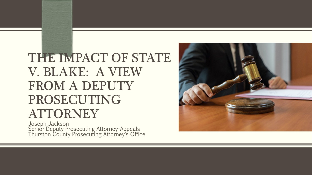# THE IMPACT OF STATE V. BLAKE: A VIEW FROM A DEPUTY PROSECUTING ATTORNEY

Joseph Jackson Senior Deputy Prosecuting Attorney-Appeals Thurston County Prosecuting Attorney's Office

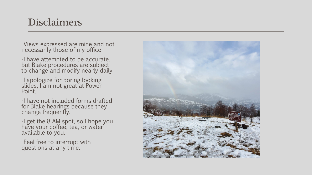# Disclaimers

-Views expressed are mine and not necessarily those of my office

-I have attempted to be accurate, but Blake procedures are subject to change and modify nearly daily

-I apologize for boring looking slides, I am not great at Power Point.

-I have not included forms drafted for Blake hearings because they change frequently.

-I get the 8 AM spot, so I hope you have your coffee, tea, or water available to you.

-Feel free to interrupt with questions at any time.

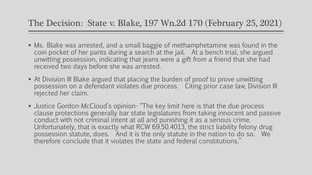#### The Decision: State v. Blake, 197 Wn.2d 170 (February 25, 2021)

- Ms. Blake was arrested, and a small baggie of methamphetamine was found in the coin pocket of her pants during a search at the jail. At a bench trial, she argued unwitting possession, indicating that jeans were a gift from a friend that she had received two days before she was arrested.
- At Division III Blake argued that placing the burden of proof to prove unwitting possession on a defendant violates due process. Citing prior case law, Division III rejected her claim.
- Justice Gordon-McCloud's opinion- "The key limit here is that the due process clause protections generally bar state legislatures from taking innocent and passive conduct with not criminal intent at all and punishing it as a serious crime. Unfortunately, that is exactly what RCW 69.50.4013, the strict liability felony drug possession statute, does. And it is the only statute in the nation to do so. We therefore conclude that it violates the state and federal constitutions."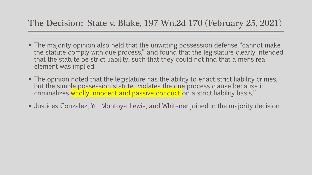#### The Decision: State v. Blake, 197 Wn.2d 170 (February 25, 2021)

- The majority opinion also held that the unwitting possession defense "cannot make the statute comply with due process," and found that the legislature clearly intended that the statute be strict liability, such that they could not find that a mens rea element was implied.
- The opinion noted that the legislature has the ability to enact strict liability crimes, but the simple possession statute "violates the due process clause because it criminalizes wholly innocent and passive conduct on a strict liability basis."
- Justices Gonzalez, Yu, Montoya-Lewis, and Whitener joined in the majority decision.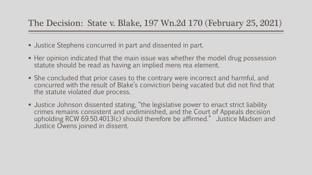- Justice Stephens concurred in part and dissented in part.
- Her opinion indicated that the main issue was whether the model drug possession statute should be read as having an implied mens rea element.
- She concluded that prior cases to the contrary were incorrect and harmful, and concurred with the result of Blake's conviction being vacated but did not find that the statute violated due process.
- Justice Johnson dissented stating, "the legislative power to enact strict liability crimes remains consistent and undiminished, and the Court of Appeals decision upholding RCW 69.50.4013(c) should therefore be affirmed." Justice Madsen and Justice Owens joined in dissent.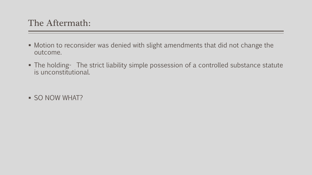- Motion to reconsider was denied with slight amendments that did not change the outcome.
- The holding- The strict liability simple possession of a controlled substance statute is unconstitutional.
- **SO NOW WHAT?**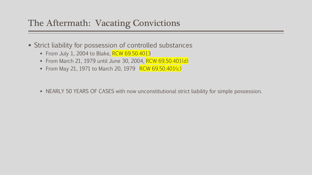## The Aftermath: Vacating Convictions

- Strict liability for possession of controlled substances
	- From July 1, 2004 to Blake,  $RCW$  69.50.4013
	- From March 21, 1979 until June 30, 2004, RCW 69.50.401(d)
	- From May 21, 1971 to March 20, 1979 RCW 69.50.401(c)
	- NEARLY 50 YEARS OF CASES with now unconstitutional strict liability for simple possession.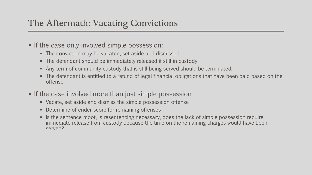# The Aftermath: Vacating Convictions

- If the case only involved simple possession:
	- The conviction may be vacated, set aside and dismissed.
	- The defendant should be immediately released if still in custody.
	- Any term of community custody that is still being served should be terminated.
	- The defendant is entitled to a refund of legal financial obligations that have been paid based on the offense.
- If the case involved more than just simple possession
	- Vacate, set aside and dismiss the simple possession offense
	- **Determine offender score for remaining offenses**
	- If Is the sentence moot, is resentencing necessary, does the lack of simple possession require immediate release from custody because the time on the remaining charges would have been served?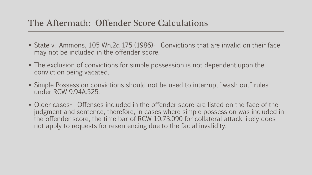#### The Aftermath: Offender Score Calculations

- State v. Ammons, 105 Wn.2d 175 (1986)- Convictions that are invalid on their face may not be included in the offender score.
- The exclusion of convictions for simple possession is not dependent upon the conviction being vacated.
- Simple Possession convictions should not be used to interrupt "wash out" rules under RCW 9.94A.525.
- Older cases- Offenses included in the offender score are listed on the face of the judgment and sentence, therefore, in cases where simple possession was included in the offender score, the time bar of RCW 10.73.090 for collateral attack likely does not apply to requests for resentencing due to the facial invalidity.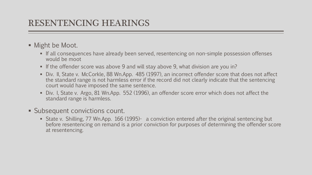#### RESENTENCING HEARINGS

- **Might be Moot.** 
	- If all consequences have already been served, resentencing on non-simple possession offenses would be moot
	- If the offender score was above 9 and will stay above 9, what division are you in?
	- Div. II, State v. McCorkle, 88 Wn.App. 485 (1997), an incorrect offender score that does not affect the standard range is not harmless error if the record did not clearly indicate that the sentencing court would have imposed the same sentence.
	- Div. I, State v. Argo, 81 Wn.App. 552 (1996), an offender score error which does not affect the standard range is harmless.
- **Subsequent convictions count.** 
	- **State v. Shilling, 77 Wn.App. 166 (1995)-** a conviction entered after the original sentencing but before resentencing on remand is a prior conviction for purposes of determining the offender score at resentencing.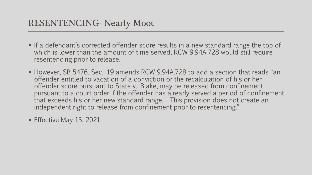- **If a defendant's corrected offender score results in a new standard range the top of** which is lower than the amount of time served, RCW 9.94A.728 would still require resentencing prior to release.
- However, SB 5476, Sec. 19 amends RCW 9.94A.728 to add a section that reads "an offender entitled to vacation of a conviction or the recalculation of his or her offender score pursuant to State v. Blake, may be released from confinement pursuant to a court order if the offender has already served a period of confinement that exceeds his or her new standard range. This provision does not create an independent right to release from confinement prior to resentencing."
- Effective May 13, 2021.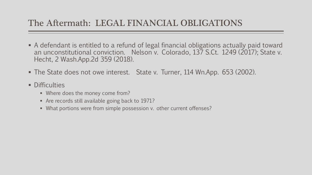# The Aftermath: LEGAL FINANCIAL OBLIGATIONS

- A defendant is entitled to a refund of legal financial obligations actually paid toward an unconstitutional conviction. Nelson v. Colorado, 137 S.Ct. 1249 (2017); State v. Hecht, 2 Wash.App.2d 359 (2018).
- The State does not owe interest. State v. Turner, 114 Wn.App. 653 (2002).
- **Difficulties** 
	- Where does the money come from?
	- Are records still available going back to 1971?
	- What portions were from simple possession v. other current offenses?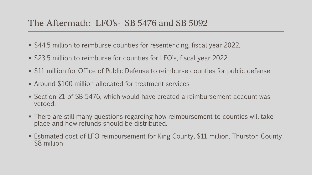#### The Aftermath: LFO's- SB 5476 and SB 5092

- \$44.5 million to reimburse counties for resentencing, fiscal year 2022.
- \$23.5 million to reimburse for counties for LFO's, fiscal year 2022.
- **Sauding 11 million for Office of Public Defense to reimburse counties for public defense**
- Around \$100 million allocated for treatment services
- Section 21 of SB 5476, which would have created a reimbursement account was vetoed.
- There are still many questions regarding how reimbursement to counties will take place and how refunds should be distributed.
- Estimated cost of LFO reimbursement for King County, \$11 million, Thurston County \$8 million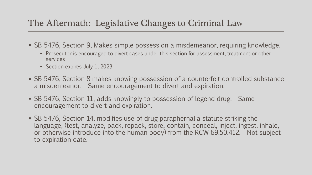# The Aftermath: Legislative Changes to Criminal Law

- SB 5476, Section 9, Makes simple possession a misdemeanor, requiring knowledge.
	- **Prosecutor is encouraged to divert cases under this section for assessment, treatment or other** services
	- Section expires July 1, 2023.
- SB 5476, Section 8 makes knowing possession of a counterfeit controlled substance a misdemeanor. Same encouragement to divert and expiration.
- SB 5476, Section 11, adds knowingly to possession of legend drug. Same encouragement to divert and expiration.
- SB 5476, Section 14, modifies use of drug paraphernalia statute striking the language, (test, analyze, pack, repack, store, contain, conceal, inject, ingest, inhale, or otherwise introduce into the human body) from the RCW 69.50.412. Not subject to expiration date.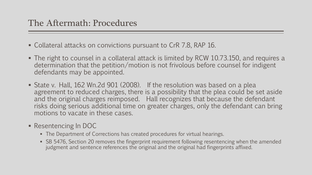- Collateral attacks on convictions pursuant to CrR 7.8, RAP 16.
- The right to counsel in a collateral attack is limited by RCW 10.73.150, and requires a determination that the petition/motion is not frivolous before counsel for indigent defendants may be appointed.
- State v. Hall, 162 Wn.2d 901 (2008). If the resolution was based on a plea agreement to reduced charges, there is a possibility that the plea could be set aside and the original charges reimposed. Hall recognizes that because the defendant risks doing serious additional time on greater charges, only the defendant can bring motions to vacate in these cases.
- **Resentencing In DOC** 
	- **The Department of Corrections has created procedures for virtual hearings.**
	- SB 5476, Section 20 removes the fingerprint requirement following resentencing when the amended judgment and sentence references the original and the original had fingerprints affixed.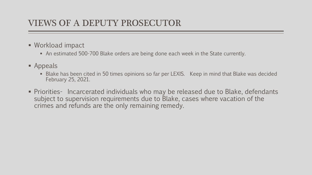## VIEWS OF A DEPUTY PROSECUTOR

- Workload impact
	- An estimated 500-700 Blake orders are being done each week in the State currently.
- **Appeals** 
	- Blake has been cited in 50 times opinions so far per LEXIS. Keep in mind that Blake was decided February 25, 2021.
- Priorities- Incarcerated individuals who may be released due to Blake, defendants subject to supervision requirements due to Blake, cases where vacation of the crimes and refunds are the only remaining remedy.